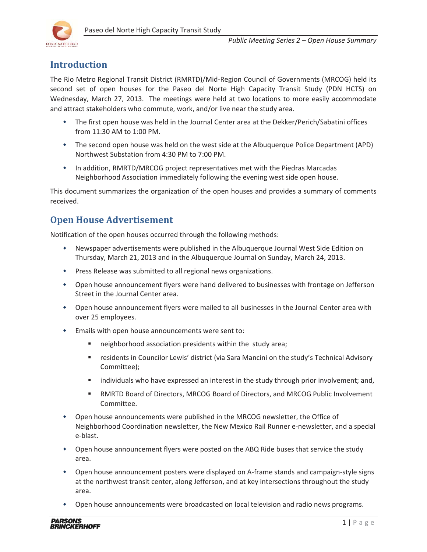

## **Introduction**

The Rio Metro Regional Transit District (RMRTD)/Mid-Region Council of Governments (MRCOG) held its second set of open houses for the Paseo del Norte High Capacity Transit Study (PDN HCTS) on Wednesday, March 27, 2013. The meetings were held at two locations to more easily accommodate and attract stakeholders who commute, work, and/or live near the study area.

- The first open house was held in the Journal Center area at the Dekker/Perich/Sabatini offices from 11:30 AM to 1:00 PM.
- The second open house was held on the west side at the Albuquerque Police Department (APD) Northwest Substation from 4:30 PM to 7:00 PM.
- In addition, RMRTD/MRCOG project representatives met with the Piedras Marcadas Neighborhood Association immediately following the evening west side open house.

This document summarizes the organization of the open houses and provides a summary of comments received.

## **Open House Advertisement**

Notification of the open houses occurred through the following methods:

- Newspaper advertisements were published in the Albuquerque Journal West Side Edition on Thursday, March 21, 2013 and in the Albuquerque Journal on Sunday, March 24, 2013.
- Press Release was submitted to all regional news organizations.
- Open house announcement flyers were hand delivered to businesses with frontage on Jefferson Street in the Journal Center area.
- Open house announcement flyers were mailed to all businesses in the Journal Center area with over 25 employees.
- Emails with open house announcements were sent to:
	- neighborhood association presidents within the study area;
	- residents in Councilor Lewis' district (via Sara Mancini on the study's Technical Advisory Committee);
	- **Individuals who have expressed an interest in the study through prior involvement; and,**
	- RMRTD Board of Directors, MRCOG Board of Directors, and MRCOG Public Involvement Committee.
- Open house announcements were published in the MRCOG newsletter, the Office of Neighborhood Coordination newsletter, the New Mexico Rail Runner e-newsletter, and a special e-blast.
- Open house announcement flyers were posted on the ABQ Ride buses that service the study area.
- ◆ Open house announcement posters were displayed on A-frame stands and campaign-style signs at the northwest transit center, along Jefferson, and at key intersections throughout the study area.
- Open house announcements were broadcasted on local television and radio news programs.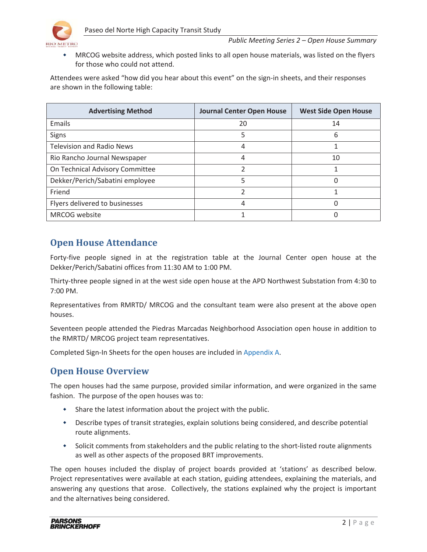

 MRCOG website address, which posted links to all open house materials, was listed on the flyers for those who could not attend.

Attendees were asked "how did you hear about this event" on the sign-in sheets, and their responses are shown in the following table:

| <b>Advertising Method</b>        | <b>Journal Center Open House</b> | <b>West Side Open House</b> |
|----------------------------------|----------------------------------|-----------------------------|
| Emails                           | 20                               | 14                          |
| Signs                            | 5                                | 6                           |
| <b>Television and Radio News</b> |                                  |                             |
| Rio Rancho Journal Newspaper     | 4                                | 10                          |
| On Technical Advisory Committee  |                                  |                             |
| Dekker/Perich/Sabatini employee  |                                  |                             |
| Friend                           |                                  |                             |
| Flyers delivered to businesses   | 4                                |                             |
| MRCOG website                    |                                  |                             |

# **Open House Attendance**

Forty-five people signed in at the registration table at the Journal Center open house at the Dekker/Perich/Sabatini offices from 11:30 AM to 1:00 PM.

Thirty-three people signed in at the west side open house at the APD Northwest Substation from 4:30 to 7:00 PM.

Representatives from RMRTD/ MRCOG and the consultant team were also present at the above open houses.

Seventeen people attended the Piedras Marcadas Neighborhood Association open house in addition to the RMRTD/ MRCOG project team representatives.

Completed Sign-In Sheets for the open houses are included in Appendix A.

# **Open House Overview**

The open houses had the same purpose, provided similar information, and were organized in the same fashion. The purpose of the open houses was to:

- Share the latest information about the project with the public.
- Describe types of transit strategies, explain solutions being considered, and describe potential route alignments.
- Solicit comments from stakeholders and the public relating to the short-listed route alignments as well as other aspects of the proposed BRT improvements.

The open houses included the display of project boards provided at 'stations' as described below. Project representatives were available at each station, guiding attendees, explaining the materials, and answering any questions that arose. Collectively, the stations explained why the project is important and the alternatives being considered.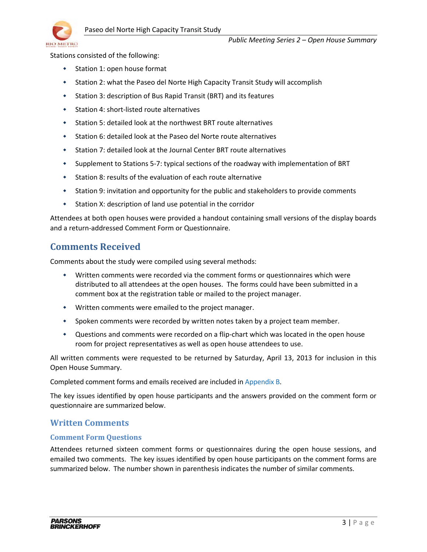

Stations consisted of the following:

- Station 1: open house format
- Station 2: what the Paseo del Norte High Capacity Transit Study will accomplish
- Station 3: description of Bus Rapid Transit (BRT) and its features
- Station 4: short-listed route alternatives
- Station 5: detailed look at the northwest BRT route alternatives
- Station 6: detailed look at the Paseo del Norte route alternatives
- Station 7: detailed look at the Journal Center BRT route alternatives
- \* Supplement to Stations 5-7: typical sections of the roadway with implementation of BRT
- Station 8: results of the evaluation of each route alternative
- Station 9: invitation and opportunity for the public and stakeholders to provide comments
- Station X: description of land use potential in the corridor

Attendees at both open houses were provided a handout containing small versions of the display boards and a return-addressed Comment Form or Questionnaire.

## **Comments Received**

Comments about the study were compiled using several methods:

- Written comments were recorded via the comment forms or questionnaires which were distributed to all attendees at the open houses. The forms could have been submitted in a comment box at the registration table or mailed to the project manager.
- Written comments were emailed to the project manager.
- \* Spoken comments were recorded by written notes taken by a project team member.
- Questions and comments were recorded on a flip-chart which was located in the open house room for project representatives as well as open house attendees to use.

All written comments were requested to be returned by Saturday, April 13, 2013 for inclusion in this Open House Summary.

Completed comment forms and emails received are included in Appendix B.

The key issues identified by open house participants and the answers provided on the comment form or questionnaire are summarized below.

### **Written Comments**

#### **Comment Form Questions**

Attendees returned sixteen comment forms or questionnaires during the open house sessions, and emailed two comments. The key issues identified by open house participants on the comment forms are summarized below. The number shown in parenthesis indicates the number of similar comments.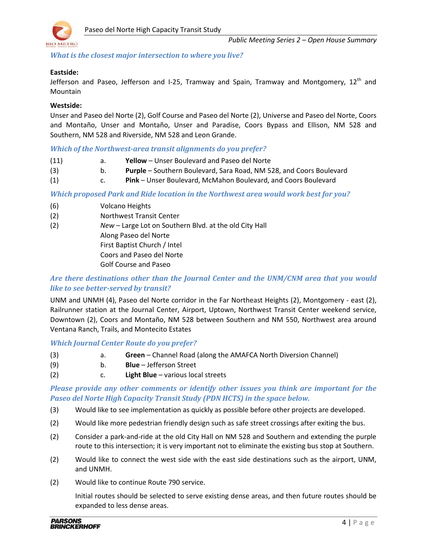

*What is the closest major intersection to where you live?* 

#### **Eastside:**

Jefferson and Paseo, Jefferson and I-25, Tramway and Spain, Tramway and Montgomery,  $12<sup>th</sup>$  and Mountain

#### **Westside:**

Unser and Paseo del Norte (2), Golf Course and Paseo del Norte (2), Universe and Paseo del Norte, Coors and Montaño, Unser and Montaño, Unser and Paradise, Coors Bypass and Ellison, NM 528 and Southern, NM 528 and Riverside, NM 528 and Leon Grande.

#### *Which of the Northwest-area transit alignments do you prefer?*

- (11) a. **Yellow** Unser Boulevard and Paseo del Norte
- (3) b. **Purple** Southern Boulevard, Sara Road, NM 528, and Coors Boulevard
- (1) c. **Pink** Unser Boulevard, McMahon Boulevard, and Coors Boulevard

*Which proposed Park and Ride location in the Northwest area would work best for you?* 

- (6) Volcano Heights
- (2) Northwest Transit Center
- (2) *New* Large Lot on Southern Blvd. at the old City Hall
	- Along Paseo del Norte

First Baptist Church / Intel

Coors and Paseo del Norte

Golf Course and Paseo

### *Are there destinations other than the Journal Center and the UNM/CNM area that you would like to see better-served by transit?*

UNM and UNMH (4), Paseo del Norte corridor in the Far Northeast Heights (2), Montgomery - east (2), Railrunner station at the Journal Center, Airport, Uptown, Northwest Transit Center weekend service, Downtown (2), Coors and Montaño, NM 528 between Southern and NM 550, Northwest area around Ventana Ranch, Trails, and Montecito Estates

#### *Which Journal Center Route do you prefer?*

- (3) a. **Green** Channel Road (along the AMAFCA North Diversion Channel)
- (9) b. **Blue** Jefferson Street
- (2) c. **Light Blue** various local streets

*Please provide any other comments or identify other issues you think are important for the Paseo del Norte High Capacity Transit Study (PDN HCTS) in the space below.* 

- (3) Would like to see implementation as quickly as possible before other projects are developed.
- (2) Would like more pedestrian friendly design such as safe street crossings after exiting the bus.
- (2) Consider a park-and-ride at the old City Hall on NM 528 and Southern and extending the purple route to this intersection; it is very important not to eliminate the existing bus stop at Southern.
- (2) Would like to connect the west side with the east side destinations such as the airport, UNM, and UNMH.
- (2) Would like to continue Route 790 service.

 Initial routes should be selected to serve existing dense areas, and then future routes should be expanded to less dense areas.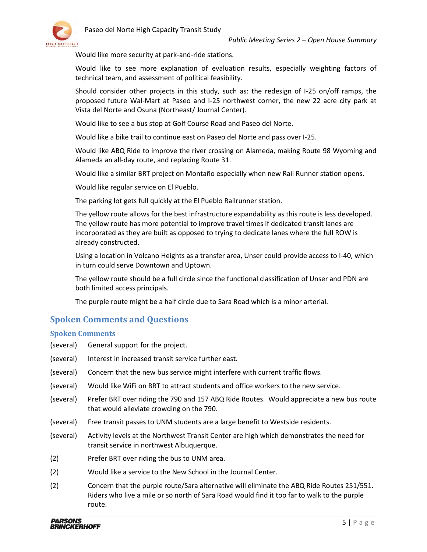

Would like more security at park-and-ride stations.

Would like to see more explanation of evaluation results, especially weighting factors of technical team, and assessment of political feasibility.

 Should consider other projects in this study, such as: the redesign of I-25 on/off ramps, the proposed future Wal-Mart at Paseo and I-25 northwest corner, the new 22 acre city park at Vista del Norte and Osuna (Northeast/ Journal Center).

Would like to see a bus stop at Golf Course Road and Paseo del Norte.

Would like a bike trail to continue east on Paseo del Norte and pass over I-25.

Would like ABQ Ride to improve the river crossing on Alameda, making Route 98 Wyoming and Alameda an all-day route, and replacing Route 31.

Would like a similar BRT project on Montaño especially when new Rail Runner station opens.

Would like regular service on El Pueblo.

The parking lot gets full quickly at the El Pueblo Railrunner station.

 The yellow route allows for the best infrastructure expandability as this route is less developed. The yellow route has more potential to improve travel times if dedicated transit lanes are incorporated as they are built as opposed to trying to dedicate lanes where the full ROW is already constructed.

 Using a location in Volcano Heights as a transfer area, Unser could provide access to I-40, which in turn could serve Downtown and Uptown.

 The yellow route should be a full circle since the functional classification of Unser and PDN are both limited access principals.

The purple route might be a half circle due to Sara Road which is a minor arterial.

### **Spoken Comments and Questions**

#### **Spoken Comments**

- (several) General support for the project.
- (several) Interest in increased transit service further east.
- (several) Concern that the new bus service might interfere with current traffic flows.
- (several) Would like WiFi on BRT to attract students and office workers to the new service.
- (several) Prefer BRT over riding the 790 and 157 ABQ Ride Routes. Would appreciate a new bus route that would alleviate crowding on the 790.
- (several) Free transit passes to UNM students are a large benefit to Westside residents.
- (several) Activity levels at the Northwest Transit Center are high which demonstrates the need for transit service in northwest Albuquerque.
- (2) Prefer BRT over riding the bus to UNM area.
- (2) Would like a service to the New School in the Journal Center.
- (2) Concern that the purple route/Sara alternative will eliminate the ABQ Ride Routes 251/551. Riders who live a mile or so north of Sara Road would find it too far to walk to the purple route.